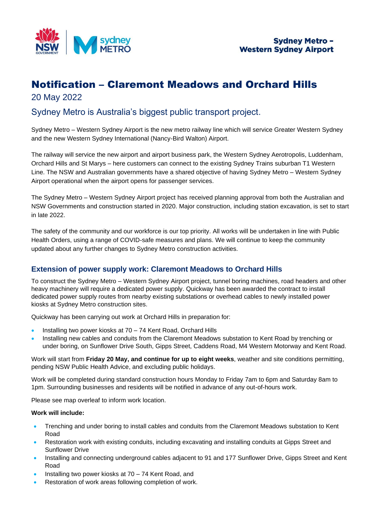

# Notification – Claremont Meadows and Orchard Hills 20 May 2022

## Sydney Metro is Australia's biggest public transport project.

Sydney Metro – Western Sydney Airport is the new metro railway line which will service Greater Western Sydney and the new Western Sydney International (Nancy-Bird Walton) Airport.

The railway will service the new airport and airport business park, the Western Sydney Aerotropolis, Luddenham, Orchard Hills and St Marys – here customers can connect to the existing Sydney Trains suburban T1 Western Line. The NSW and Australian governments have a shared objective of having Sydney Metro – Western Sydney Airport operational when the airport opens for passenger services.

The Sydney Metro – Western Sydney Airport project has received planning approval from both the Australian and NSW Governments and construction started in 2020. Major construction, including station excavation, is set to start in late 2022.

The safety of the community and our workforce is our top priority. All works will be undertaken in line with Public Health Orders, using a range of COVID-safe measures and plans. We will continue to keep the community updated about any further changes to Sydney Metro construction activities.

## **Extension of power supply work: Claremont Meadows to Orchard Hills**

To construct the Sydney Metro – Western Sydney Airport project, tunnel boring machines, road headers and other heavy machinery will require a dedicated power supply. Quickway has been awarded the contract to install dedicated power supply routes from nearby existing substations or overhead cables to newly installed power kiosks at Sydney Metro construction sites.

Quickway has been carrying out work at Orchard Hills in preparation for:

- Installing two power kiosks at 70 74 Kent Road, Orchard Hills
- Installing new cables and conduits from the Claremont Meadows substation to Kent Road by trenching or under boring, on Sunflower Drive South, Gipps Street, Caddens Road, M4 Western Motorway and Kent Road.

Work will start from **Friday 20 May, and continue for up to eight weeks**, weather and site conditions permitting, pending NSW Public Health Advice, and excluding public holidays.

Work will be completed during standard construction hours Monday to Friday 7am to 6pm and Saturday 8am to 1pm. Surrounding businesses and residents will be notified in advance of any out-of-hours work.

Please see map overleaf to inform work location.

#### **Work will include:**

- Trenching and under boring to install cables and conduits from the Claremont Meadows substation to Kent Road
- Restoration work with existing conduits, including excavating and installing conduits at Gipps Street and Sunflower Drive
- Installing and connecting underground cables adjacent to 91 and 177 Sunflower Drive, Gipps Street and Kent Road
- Installing two power kiosks at 70 74 Kent Road, and
- Restoration of work areas following completion of work.